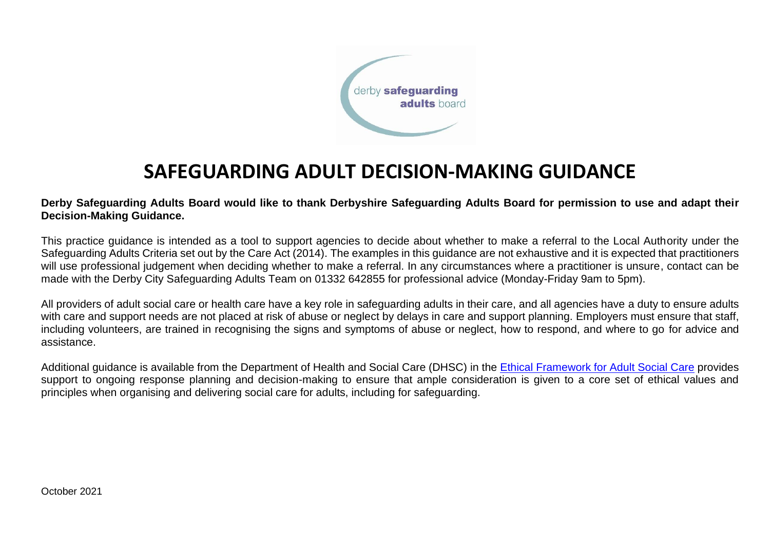

# **SAFEGUARDING ADULT DECISION-MAKING GUIDANCE**

**Derby Safeguarding Adults Board would like to thank Derbyshire Safeguarding Adults Board for permission to use and adapt their Decision-Making Guidance.**

This practice guidance is intended as a tool to support agencies to decide about whether to make a referral to the Local Authority under the Safeguarding Adults Criteria set out by the Care Act (2014). The examples in this guidance are not exhaustive and it is expected that practitioners will use professional judgement when deciding whether to make a referral. In any circumstances where a practitioner is unsure, contact can be made with the Derby City Safeguarding Adults Team on 01332 642855 for professional advice (Monday-Friday 9am to 5pm).

All providers of adult social care or health care have a key role in safeguarding adults in their care, and all agencies have a duty to ensure adults with care and support needs are not placed at risk of abuse or neglect by delays in care and support planning. Employers must ensure that staff, including volunteers, are trained in recognising the signs and symptoms of abuse or neglect, how to respond, and where to go for advice and assistance.

Additional guidance is available from the Department of Health and Social Care (DHSC) in the [Ethical Framework for Adult Social Care](https://www.gov.uk/government/publications/covid-19-ethical-framework-for-adult-social-care) provides support to ongoing response planning and decision-making to ensure that ample consideration is given to a core set of ethical values and principles when organising and delivering social care for adults, including for safeguarding.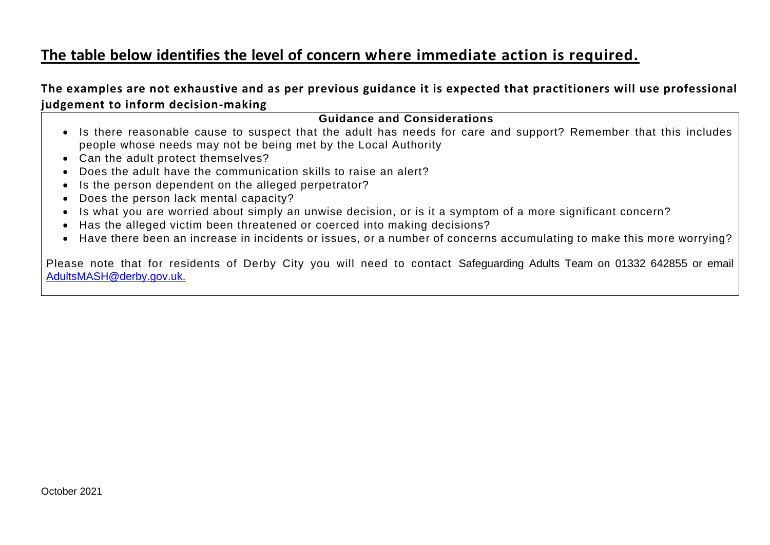### **The table below identifies the level of concern where immediate action is required.**

**The examples are not exhaustive and as per previous guidance it is expected that practitioners will use professional judgement to inform decision-making**

#### **Guidance and Considerations**

- Is there reasonable cause to suspect that the adult has needs for care and support? Remember that this includes people whose needs may not be being met by the Local Authority
- Can the adult protect themselves?
- Does the adult have the communication skills to raise an alert?
- Is the person dependent on the alleged perpetrator?
- Does the person lack mental capacity?
- Is what you are worried about simply an unwise decision, or is it a symptom of a more significant concern?
- Has the alleged victim been threatened or coerced into making decisions?
- Have there been an increase in incidents or issues, or a number of concerns accumulating to make this more worrying?

Please note that for residents of Derby City you will need to contact Safeguarding Adults Team on 01332 642855 or email [AdultsMASH@derby.gov.uk.](mailto:AdultsMASH@derby.gov.uk)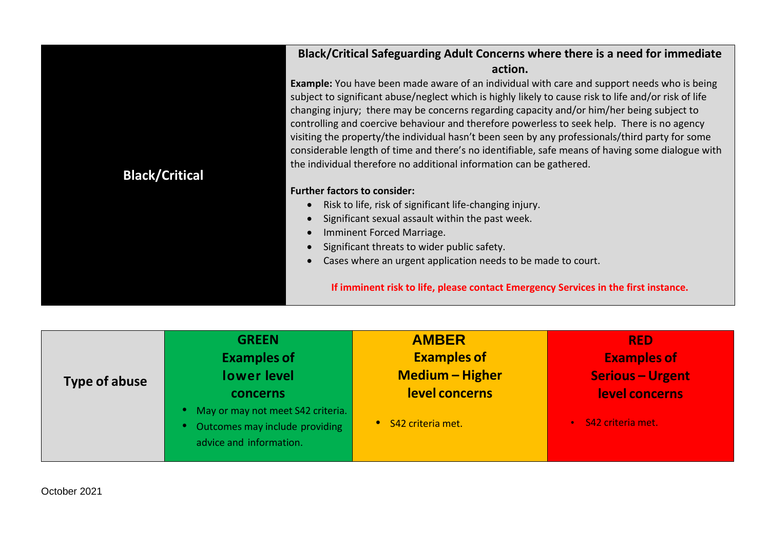|                       | Black/Critical Safeguarding Adult Concerns where there is a need for immediate                                                                                                                                                                                                                                                                                                                                                                                                                                                                                                                                                                                                        |
|-----------------------|---------------------------------------------------------------------------------------------------------------------------------------------------------------------------------------------------------------------------------------------------------------------------------------------------------------------------------------------------------------------------------------------------------------------------------------------------------------------------------------------------------------------------------------------------------------------------------------------------------------------------------------------------------------------------------------|
|                       | action.                                                                                                                                                                                                                                                                                                                                                                                                                                                                                                                                                                                                                                                                               |
| <b>Black/Critical</b> | <b>Example:</b> You have been made aware of an individual with care and support needs who is being<br>subject to significant abuse/neglect which is highly likely to cause risk to life and/or risk of life<br>changing injury; there may be concerns regarding capacity and/or him/her being subject to<br>controlling and coercive behaviour and therefore powerless to seek help. There is no agency<br>visiting the property/the individual hasn't been seen by any professionals/third party for some<br>considerable length of time and there's no identifiable, safe means of having some dialogue with<br>the individual therefore no additional information can be gathered. |
|                       | <b>Further factors to consider:</b>                                                                                                                                                                                                                                                                                                                                                                                                                                                                                                                                                                                                                                                   |
|                       | Risk to life, risk of significant life-changing injury.                                                                                                                                                                                                                                                                                                                                                                                                                                                                                                                                                                                                                               |
|                       | Significant sexual assault within the past week.                                                                                                                                                                                                                                                                                                                                                                                                                                                                                                                                                                                                                                      |
|                       | Imminent Forced Marriage.                                                                                                                                                                                                                                                                                                                                                                                                                                                                                                                                                                                                                                                             |
|                       | Significant threats to wider public safety.                                                                                                                                                                                                                                                                                                                                                                                                                                                                                                                                                                                                                                           |
|                       | Cases where an urgent application needs to be made to court.                                                                                                                                                                                                                                                                                                                                                                                                                                                                                                                                                                                                                          |
|                       | If imminent risk to life, please contact Emergency Services in the first instance.                                                                                                                                                                                                                                                                                                                                                                                                                                                                                                                                                                                                    |

| Type of abuse | <b>GREEN</b>                                                                                   | <b>AMBER</b>           | <b>RED</b>              |
|---------------|------------------------------------------------------------------------------------------------|------------------------|-------------------------|
|               | <b>Examples of</b>                                                                             | <b>Examples of</b>     | <b>Examples of</b>      |
|               | <b>lower</b> level                                                                             | <b>Medium - Higher</b> | <b>Serious - Urgent</b> |
|               | concerns                                                                                       | level concerns         | level concerns          |
|               | May or may not meet S42 criteria.<br>Outcomes may include providing<br>advice and information. | • S42 criteria met.    | · S42 criteria met.     |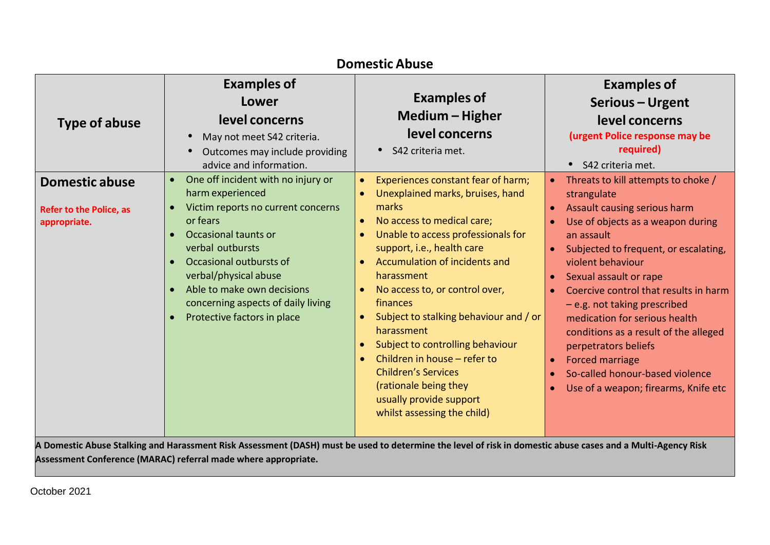| <b>Domestic Abuse</b>                                                   |                                                                                                                                                                                                                                                                                                                                                    |                                                                                                                                                                                                                                                                                                                                                                                                                                                                                                                                                                                 |                                                                                                                                                                                                                                                                                                                                                                                                                                                                                                                                     |
|-------------------------------------------------------------------------|----------------------------------------------------------------------------------------------------------------------------------------------------------------------------------------------------------------------------------------------------------------------------------------------------------------------------------------------------|---------------------------------------------------------------------------------------------------------------------------------------------------------------------------------------------------------------------------------------------------------------------------------------------------------------------------------------------------------------------------------------------------------------------------------------------------------------------------------------------------------------------------------------------------------------------------------|-------------------------------------------------------------------------------------------------------------------------------------------------------------------------------------------------------------------------------------------------------------------------------------------------------------------------------------------------------------------------------------------------------------------------------------------------------------------------------------------------------------------------------------|
| <b>Type of abuse</b>                                                    | <b>Examples of</b><br>Lower<br>level concerns<br>May not meet S42 criteria.<br>$\bullet$<br>Outcomes may include providing<br>$\bullet$<br>advice and information.                                                                                                                                                                                 | <b>Examples of</b><br>Medium – Higher<br>level concerns<br>• S42 criteria met.                                                                                                                                                                                                                                                                                                                                                                                                                                                                                                  | <b>Examples of</b><br>Serious - Urgent<br>level concerns<br>(urgent Police response may be<br>required)<br>• S42 criteria met.                                                                                                                                                                                                                                                                                                                                                                                                      |
| <b>Domestic abuse</b><br><b>Refer to the Police, as</b><br>appropriate. | One off incident with no injury or<br>$\bullet$<br>harm experienced<br>Victim reports no current concerns<br>$\bullet$<br>or fears<br>Occasional taunts or<br>verbal outbursts<br>Occasional outbursts of<br>verbal/physical abuse<br>Able to make own decisions<br>concerning aspects of daily living<br>Protective factors in place<br>$\bullet$ | Experiences constant fear of harm;<br>Unexplained marks, bruises, hand<br>marks<br>No access to medical care;<br>$\bullet$<br>Unable to access professionals for<br>support, i.e., health care<br>Accumulation of incidents and<br>harassment<br>No access to, or control over,<br>finances<br>Subject to stalking behaviour and / or<br>$\bullet$<br>harassment<br>Subject to controlling behaviour<br>$\bullet$<br>Children in house - refer to<br>$\bullet$<br><b>Children's Services</b><br>(rationale being they<br>usually provide support<br>whilst assessing the child) | Threats to kill attempts to choke /<br>$\bullet$ .<br>strangulate<br>Assault causing serious harm<br>Use of objects as a weapon during<br>an assault<br>Subjected to frequent, or escalating,<br>violent behaviour<br>Sexual assault or rape<br>Coercive control that results in harm<br>$-e.g.$ not taking prescribed<br>medication for serious health<br>conditions as a result of the alleged<br>perpetrators beliefs<br>Forced marriage<br>$\bullet$<br>So-called honour-based violence<br>Use of a weapon; firearms, Knife etc |
|                                                                         | A Domestic Abuse Stalking and Harassment Risk Assessment (DASH) must be used to determine the level of risk in domestic abuse cases and a Multi-Agency Risk                                                                                                                                                                                        |                                                                                                                                                                                                                                                                                                                                                                                                                                                                                                                                                                                 |                                                                                                                                                                                                                                                                                                                                                                                                                                                                                                                                     |

**Assessment Conference (MARAC) referral made where appropriate.**

October 2021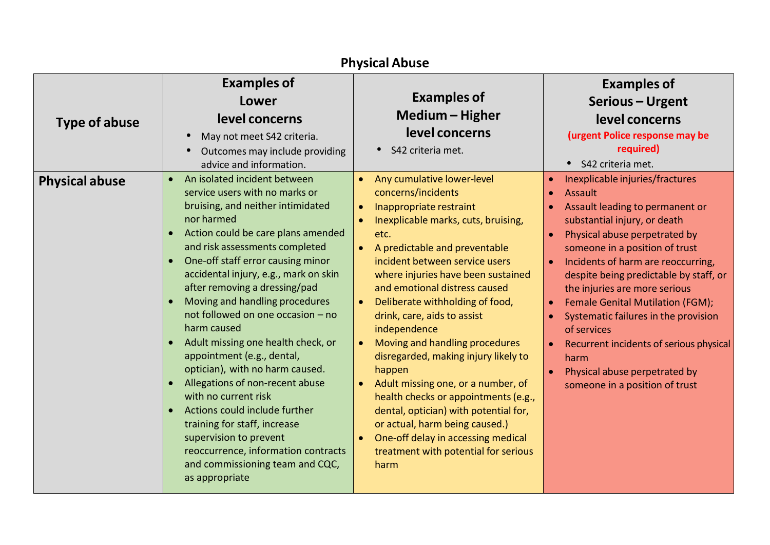| <b>Physical Abuse</b> |                                                                                                                                                                                                                                                                                                                                                                                                                                                                                                                                                                                                                                                                                                                                                                                                                                                    |                                                                                                                                                                                                                                                                                                                                                                                                                                                                                                                                                                                                                                                                                                                                                                         |                                                                                                                                                                                                                                                                                                                                                                                                                                                                                                                                              |
|-----------------------|----------------------------------------------------------------------------------------------------------------------------------------------------------------------------------------------------------------------------------------------------------------------------------------------------------------------------------------------------------------------------------------------------------------------------------------------------------------------------------------------------------------------------------------------------------------------------------------------------------------------------------------------------------------------------------------------------------------------------------------------------------------------------------------------------------------------------------------------------|-------------------------------------------------------------------------------------------------------------------------------------------------------------------------------------------------------------------------------------------------------------------------------------------------------------------------------------------------------------------------------------------------------------------------------------------------------------------------------------------------------------------------------------------------------------------------------------------------------------------------------------------------------------------------------------------------------------------------------------------------------------------------|----------------------------------------------------------------------------------------------------------------------------------------------------------------------------------------------------------------------------------------------------------------------------------------------------------------------------------------------------------------------------------------------------------------------------------------------------------------------------------------------------------------------------------------------|
| <b>Type of abuse</b>  | <b>Examples of</b><br>Lower<br>level concerns<br>May not meet S42 criteria.<br>$\bullet$<br>Outcomes may include providing<br>$\bullet$<br>advice and information.                                                                                                                                                                                                                                                                                                                                                                                                                                                                                                                                                                                                                                                                                 | <b>Examples of</b><br>Medium - Higher<br>level concerns<br>S42 criteria met.                                                                                                                                                                                                                                                                                                                                                                                                                                                                                                                                                                                                                                                                                            | <b>Examples of</b><br>Serious - Urgent<br>level concerns<br>(urgent Police response may be<br>required)<br>• S42 criteria met.                                                                                                                                                                                                                                                                                                                                                                                                               |
| <b>Physical abuse</b> | An isolated incident between<br>$\bullet$<br>service users with no marks or<br>bruising, and neither intimidated<br>nor harmed<br>Action could be care plans amended<br>$\bullet$<br>and risk assessments completed<br>One-off staff error causing minor<br>$\bullet$<br>accidental injury, e.g., mark on skin<br>after removing a dressing/pad<br>Moving and handling procedures<br>$\bullet$<br>not followed on one occasion - no<br>harm caused<br>Adult missing one health check, or<br>$\bullet$<br>appointment (e.g., dental,<br>optician), with no harm caused.<br>Allegations of non-recent abuse<br>$\bullet$<br>with no current risk<br>Actions could include further<br>$\bullet$<br>training for staff, increase<br>supervision to prevent<br>reoccurrence, information contracts<br>and commissioning team and CQC,<br>as appropriate | Any cumulative lower-level<br>$\bullet$<br>concerns/incidents<br>Inappropriate restraint<br>$\bullet$<br>Inexplicable marks, cuts, bruising,<br>$\bullet$<br>etc.<br>A predictable and preventable<br>incident between service users<br>where injuries have been sustained<br>and emotional distress caused<br>Deliberate withholding of food,<br>$\bullet$<br>drink, care, aids to assist<br>independence<br>Moving and handling procedures<br>$\bullet$<br>disregarded, making injury likely to<br>happen<br>Adult missing one, or a number, of<br>$\bullet$<br>health checks or appointments (e.g.,<br>dental, optician) with potential for,<br>or actual, harm being caused.)<br>One-off delay in accessing medical<br>treatment with potential for serious<br>harm | Inexplicable injuries/fractures<br>Assault<br>Assault leading to permanent or<br>substantial injury, or death<br>Physical abuse perpetrated by<br>someone in a position of trust<br>Incidents of harm are reoccurring,<br>despite being predictable by staff, or<br>the injuries are more serious<br>Female Genital Mutilation (FGM);<br>$\bullet$<br>Systematic failures in the provision<br>of services<br>Recurrent incidents of serious physical<br>$\bullet$<br>harm<br>Physical abuse perpetrated by<br>someone in a position of trust |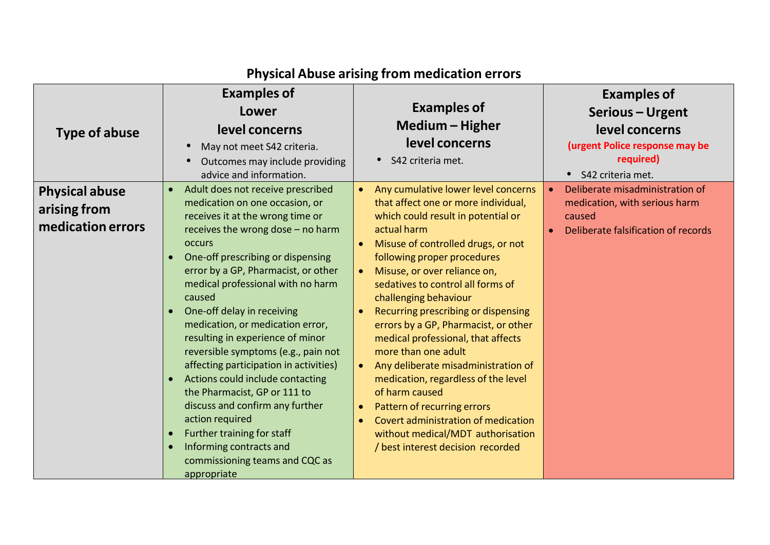|                       | <b>Examples of</b>                                                    |                                                                                              | <b>Examples of</b>                            |
|-----------------------|-----------------------------------------------------------------------|----------------------------------------------------------------------------------------------|-----------------------------------------------|
|                       | Lower                                                                 | <b>Examples of</b>                                                                           | <b>Serious - Urgent</b>                       |
| Type of abuse         | level concerns                                                        | Medium - Higher                                                                              | level concerns                                |
|                       | May not meet S42 criteria.<br>$\bullet$                               | level concerns                                                                               | (urgent Police response may be                |
|                       | Outcomes may include providing<br>$\bullet$                           | S42 criteria met.                                                                            | required)                                     |
|                       | advice and information.                                               |                                                                                              | • S42 criteria met.                           |
| <b>Physical abuse</b> | Adult does not receive prescribed<br>$\bullet$                        | Any cumulative lower level concerns                                                          | Deliberate misadministration of               |
| arising from          | medication on one occasion, or                                        | that affect one or more individual,                                                          | medication, with serious harm                 |
| medication errors     | receives it at the wrong time or<br>receives the wrong dose - no harm | which could result in potential or<br>actual harm                                            | caused<br>Deliberate falsification of records |
|                       | <b>occurs</b>                                                         | Misuse of controlled drugs, or not<br>$\bullet$                                              |                                               |
|                       | One-off prescribing or dispensing                                     | following proper procedures                                                                  |                                               |
|                       | error by a GP, Pharmacist, or other                                   | Misuse, or over reliance on,<br>$\bullet$                                                    |                                               |
|                       | medical professional with no harm                                     | sedatives to control all forms of                                                            |                                               |
|                       | caused                                                                | challenging behaviour                                                                        |                                               |
|                       | One-off delay in receiving<br>medication, or medication error,        | Recurring prescribing or dispensing<br>errors by a GP, Pharmacist, or other                  |                                               |
|                       | resulting in experience of minor                                      | medical professional, that affects                                                           |                                               |
|                       | reversible symptoms (e.g., pain not                                   | more than one adult                                                                          |                                               |
|                       | affecting participation in activities)                                | Any deliberate misadministration of                                                          |                                               |
|                       | Actions could include contacting<br>$\bullet$                         | medication, regardless of the level                                                          |                                               |
|                       | the Pharmacist, GP or 111 to                                          | of harm caused                                                                               |                                               |
|                       | discuss and confirm any further<br>action required                    | Pattern of recurring errors<br>$\bullet$<br>Covert administration of medication<br>$\bullet$ |                                               |
|                       | Further training for staff<br>$\bullet$                               | without medical/MDT authorisation                                                            |                                               |
|                       | Informing contracts and<br>$\bullet$                                  | / best interest decision recorded                                                            |                                               |
|                       | commissioning teams and CQC as                                        |                                                                                              |                                               |
|                       | appropriate                                                           |                                                                                              |                                               |

## **Physical Abuse arising from medication errors**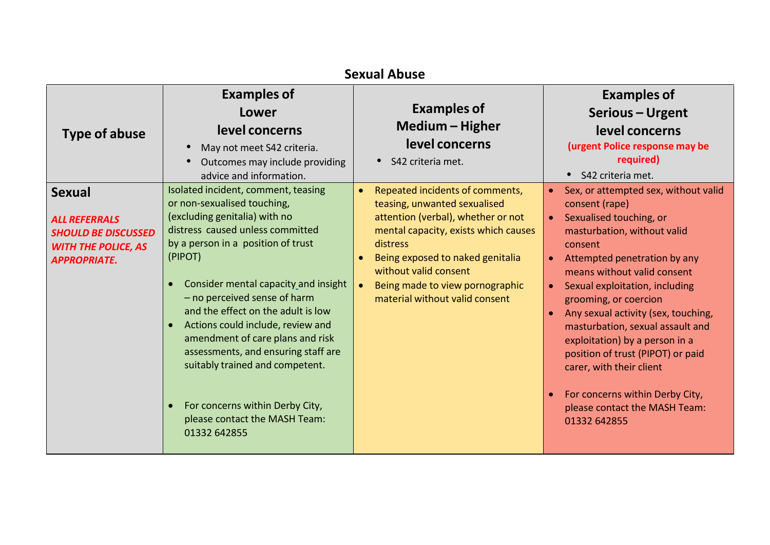| <b>Sexual Abuse</b>                                                                                                      |                                                                                                                                                                                                                                                                                                                                                                                                                                                                                                                                                                                      |                                                                                                                                                                                                                                                                                                                       |                                                                                                                                                                                                                                                                                                                                                                                                                                                                                                                                                                                                       |
|--------------------------------------------------------------------------------------------------------------------------|--------------------------------------------------------------------------------------------------------------------------------------------------------------------------------------------------------------------------------------------------------------------------------------------------------------------------------------------------------------------------------------------------------------------------------------------------------------------------------------------------------------------------------------------------------------------------------------|-----------------------------------------------------------------------------------------------------------------------------------------------------------------------------------------------------------------------------------------------------------------------------------------------------------------------|-------------------------------------------------------------------------------------------------------------------------------------------------------------------------------------------------------------------------------------------------------------------------------------------------------------------------------------------------------------------------------------------------------------------------------------------------------------------------------------------------------------------------------------------------------------------------------------------------------|
| <b>Type of abuse</b>                                                                                                     | <b>Examples of</b><br>Lower<br>level concerns<br>May not meet S42 criteria.<br>Outcomes may include providing<br>advice and information.                                                                                                                                                                                                                                                                                                                                                                                                                                             | <b>Examples of</b><br>Medium - Higher<br>level concerns<br>• S42 criteria met.                                                                                                                                                                                                                                        | <b>Examples of</b><br>Serious - Urgent<br>level concerns<br>(urgent Police response may be<br>required)<br>S42 criteria met.<br>$\bullet$                                                                                                                                                                                                                                                                                                                                                                                                                                                             |
| <b>Sexual</b><br><b>ALL REFERRALS</b><br><b>SHOULD BE DISCUSSED</b><br><b>WITH THE POLICE, AS</b><br><b>APPROPRIATE.</b> | Isolated incident, comment, teasing<br>or non-sexualised touching,<br>(excluding genitalia) with no<br>distress caused unless committed<br>by a person in a position of trust<br>(PIPOT)<br>Consider mental capacity and insight<br>$\bullet$<br>- no perceived sense of harm<br>and the effect on the adult is low<br>Actions could include, review and<br>$\bullet$<br>amendment of care plans and risk<br>assessments, and ensuring staff are<br>suitably trained and competent.<br>For concerns within Derby City,<br>$\bullet$<br>please contact the MASH Team:<br>01332 642855 | Repeated incidents of comments,<br>$\bullet$<br>teasing, unwanted sexualised<br>attention (verbal), whether or not<br>mental capacity, exists which causes<br>distress<br>Being exposed to naked genitalia<br>without valid consent<br>Being made to view pornographic<br>$\bullet$<br>material without valid consent | Sex, or attempted sex, without valid<br>$\bullet$<br>consent (rape)<br>Sexualised touching, or<br>$\bullet$<br>masturbation, without valid<br>consent<br>Attempted penetration by any<br>$\bullet$<br>means without valid consent<br>Sexual exploitation, including<br>$\bullet$<br>grooming, or coercion<br>Any sexual activity (sex, touching,<br>$\bullet$<br>masturbation, sexual assault and<br>exploitation) by a person in a<br>position of trust (PIPOT) or paid<br>carer, with their client<br>For concerns within Derby City,<br>$\bullet$<br>please contact the MASH Team:<br>01332 642855 |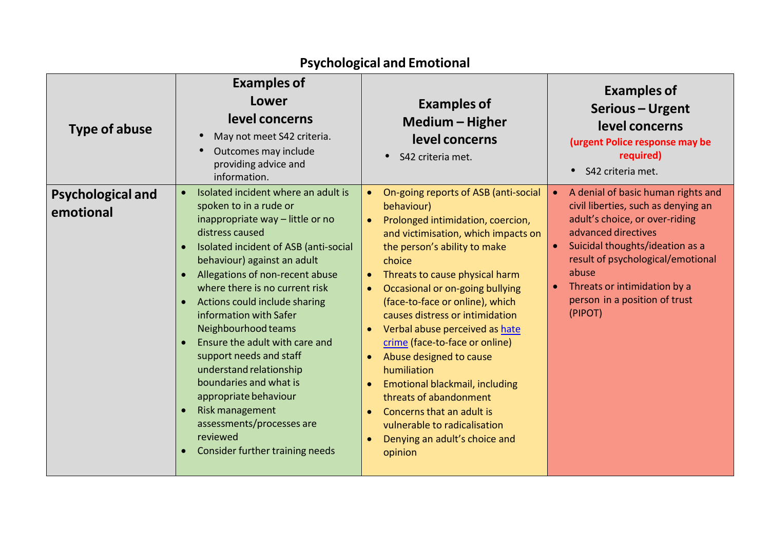| Type of abuse                         | <b>Examples of</b><br>Lower<br>level concerns<br>May not meet S42 criteria.<br>Outcomes may include<br>providing advice and<br>information.                                                                                                                                                                                                                                                                                                                                                                                                                                                                                          | <b>Examples of</b><br>Medium – Higher<br>level concerns<br>• S42 criteria met.                                                                                                                                                                                                                                                                                                                                                                                                                                                                                                                                                          | <b>Examples of</b><br>Serious - Urgent<br>level concerns<br>(urgent Police response may be<br>required)<br>S42 criteria met.<br>$\bullet$                                                                                                                                                                    |
|---------------------------------------|--------------------------------------------------------------------------------------------------------------------------------------------------------------------------------------------------------------------------------------------------------------------------------------------------------------------------------------------------------------------------------------------------------------------------------------------------------------------------------------------------------------------------------------------------------------------------------------------------------------------------------------|-----------------------------------------------------------------------------------------------------------------------------------------------------------------------------------------------------------------------------------------------------------------------------------------------------------------------------------------------------------------------------------------------------------------------------------------------------------------------------------------------------------------------------------------------------------------------------------------------------------------------------------------|--------------------------------------------------------------------------------------------------------------------------------------------------------------------------------------------------------------------------------------------------------------------------------------------------------------|
| <b>Psychological and</b><br>emotional | Isolated incident where an adult is<br>$\bullet$<br>spoken to in a rude or<br>inappropriate way - little or no<br>distress caused<br>Isolated incident of ASB (anti-social<br>behaviour) against an adult<br>Allegations of non-recent abuse<br>$\bullet$<br>where there is no current risk<br>Actions could include sharing<br>$\bullet$<br>information with Safer<br>Neighbourhood teams<br>Ensure the adult with care and<br>support needs and staff<br>understand relationship<br>boundaries and what is<br>appropriate behaviour<br>Risk management<br>assessments/processes are<br>reviewed<br>Consider further training needs | On-going reports of ASB (anti-social<br>behaviour)<br>Prolonged intimidation, coercion,<br>$\bullet$<br>and victimisation, which impacts on<br>the person's ability to make<br>choice<br>Threats to cause physical harm<br>$\bullet$<br>Occasional or on-going bullying<br>(face-to-face or online), which<br>causes distress or intimidation<br>Verbal abuse perceived as hate<br>crime (face-to-face or online)<br>Abuse designed to cause<br>humiliation<br><b>Emotional blackmail, including</b><br>threats of abandonment<br>Concerns that an adult is<br>vulnerable to radicalisation<br>Denying an adult's choice and<br>opinion | A denial of basic human rights and<br>$\bullet$<br>civil liberties, such as denying an<br>adult's choice, or over-riding<br>advanced directives<br>Suicidal thoughts/ideation as a<br>result of psychological/emotional<br>abuse<br>Threats or intimidation by a<br>person in a position of trust<br>(PIPOT) |

### **Psychological and Emotional**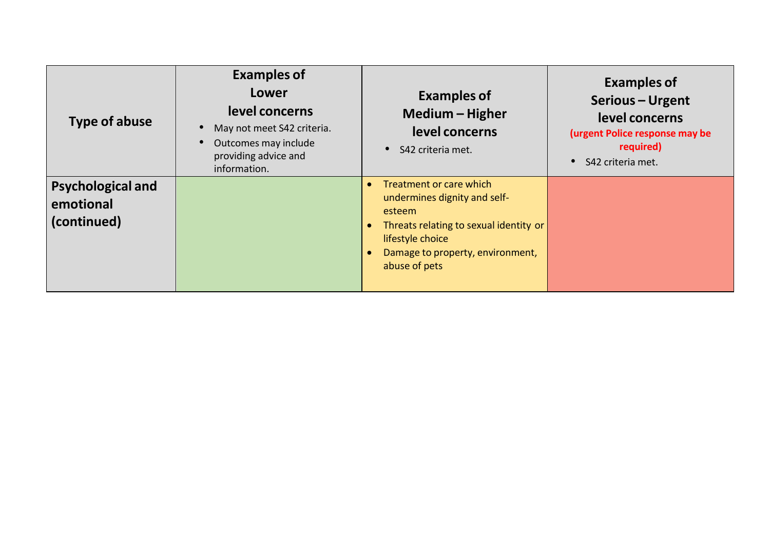| <b>Type of abuse</b>                                 | <b>Examples of</b><br><b>Lower</b><br>level concerns<br>May not meet S42 criteria.<br>Outcomes may include<br>providing advice and<br>information. | <b>Examples of</b><br>Medium - Higher<br>level concerns<br>S42 criteria met.                                                                                                         | <b>Examples of</b><br>Serious - Urgent<br>level concerns<br>(urgent Police response may be<br>required)<br>S42 criteria met. |
|------------------------------------------------------|----------------------------------------------------------------------------------------------------------------------------------------------------|--------------------------------------------------------------------------------------------------------------------------------------------------------------------------------------|------------------------------------------------------------------------------------------------------------------------------|
| <b>Psychological and</b><br>emotional<br>(continued) |                                                                                                                                                    | Treatment or care which<br>undermines dignity and self-<br>esteem<br>Threats relating to sexual identity or<br>lifestyle choice<br>Damage to property, environment,<br>abuse of pets |                                                                                                                              |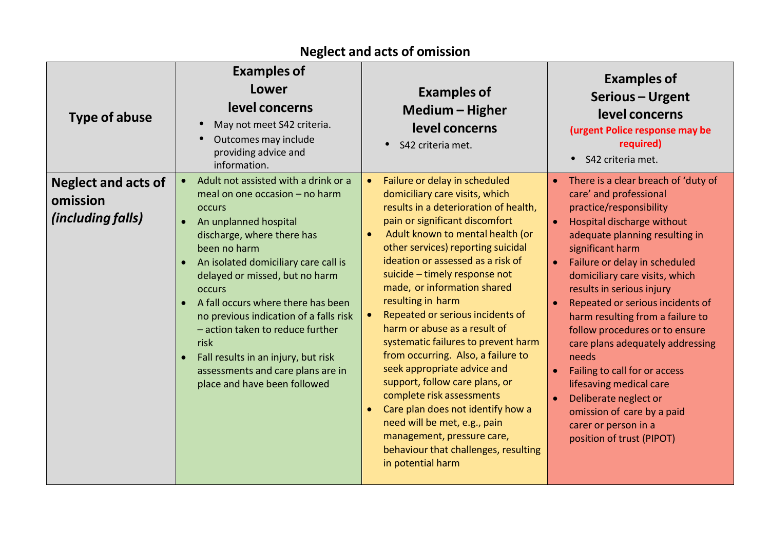| <b>Type of abuse</b>                                        | <b>Examples of</b><br>Lower<br>level concerns<br>May not meet S42 criteria.<br>Outcomes may include<br>providing advice and<br>information.                                                                                                                                                                                                                                                                                                                                                       | <b>Examples of</b><br>Medium - Higher<br>level concerns<br>S42 criteria met.                                                                                                                                                                                                                                                                                                                                                                                                                                                                                                                                                                                                                                                                                  | <b>Examples of</b><br>Serious - Urgent<br>level concerns<br>(urgent Police response may be<br>required)<br>S42 criteria met.                                                                                                                                                                                                                                                                                                                                                                                                                                                                                                                       |
|-------------------------------------------------------------|---------------------------------------------------------------------------------------------------------------------------------------------------------------------------------------------------------------------------------------------------------------------------------------------------------------------------------------------------------------------------------------------------------------------------------------------------------------------------------------------------|---------------------------------------------------------------------------------------------------------------------------------------------------------------------------------------------------------------------------------------------------------------------------------------------------------------------------------------------------------------------------------------------------------------------------------------------------------------------------------------------------------------------------------------------------------------------------------------------------------------------------------------------------------------------------------------------------------------------------------------------------------------|----------------------------------------------------------------------------------------------------------------------------------------------------------------------------------------------------------------------------------------------------------------------------------------------------------------------------------------------------------------------------------------------------------------------------------------------------------------------------------------------------------------------------------------------------------------------------------------------------------------------------------------------------|
| <b>Neglect and acts of</b><br>omission<br>(including falls) | Adult not assisted with a drink or a<br>meal on one occasion - no harm<br><b>OCCULS</b><br>An unplanned hospital<br>discharge, where there has<br>been no harm<br>An isolated domiciliary care call is<br>delayed or missed, but no harm<br><b>OCCULS</b><br>A fall occurs where there has been<br>no previous indication of a falls risk<br>- action taken to reduce further<br>risk<br>Fall results in an injury, but risk<br>assessments and care plans are in<br>place and have been followed | Failure or delay in scheduled<br>domiciliary care visits, which<br>results in a deterioration of health,<br>pain or significant discomfort<br>Adult known to mental health (or<br>other services) reporting suicidal<br>ideation or assessed as a risk of<br>suicide - timely response not<br>made, or information shared<br>resulting in harm<br>Repeated or serious incidents of<br>harm or abuse as a result of<br>systematic failures to prevent harm<br>from occurring. Also, a failure to<br>seek appropriate advice and<br>support, follow care plans, or<br>complete risk assessments<br>Care plan does not identify how a<br>need will be met, e.g., pain<br>management, pressure care,<br>behaviour that challenges, resulting<br>in potential harm | There is a clear breach of 'duty of<br>$\bullet$<br>care' and professional<br>practice/responsibility<br>Hospital discharge without<br>$\bullet$<br>adequate planning resulting in<br>significant harm<br>Failure or delay in scheduled<br>domiciliary care visits, which<br>results in serious injury<br>Repeated or serious incidents of<br>harm resulting from a failure to<br>follow procedures or to ensure<br>care plans adequately addressing<br>needs<br>Failing to call for or access<br>$\bullet$<br>lifesaving medical care<br>Deliberate neglect or<br>omission of care by a paid<br>carer or person in a<br>position of trust (PIPOT) |

### **Neglect and acts of omission**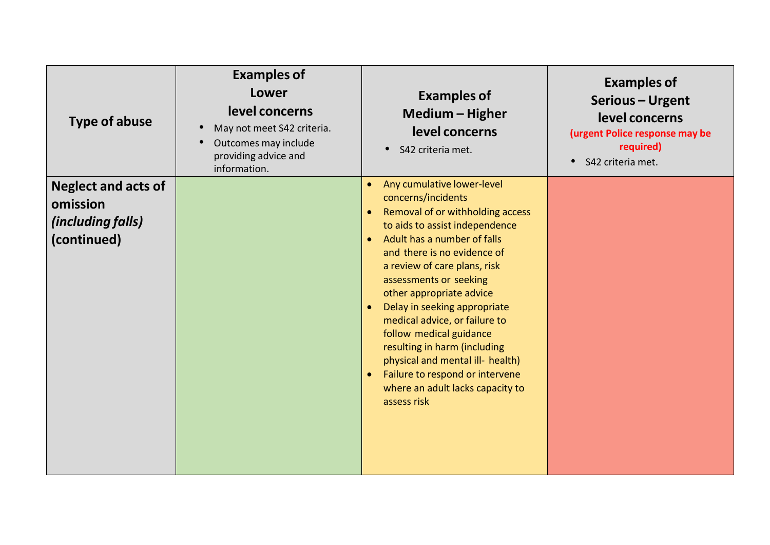| <b>Type of abuse</b>                                                       | <b>Examples of</b><br>Lower<br>level concerns<br>May not meet S42 criteria.<br>Outcomes may include<br>providing advice and<br>information. | <b>Examples of</b><br>Medium - Higher<br>level concerns<br>S42 criteria met.<br>$\bullet$                                                                                                                                                                                                                                                                                                                                                                                                                                                                                                         | <b>Examples of</b><br>Serious - Urgent<br>level concerns<br>(urgent Police response may be<br>required)<br>S42 criteria met.<br>$\bullet$ |
|----------------------------------------------------------------------------|---------------------------------------------------------------------------------------------------------------------------------------------|---------------------------------------------------------------------------------------------------------------------------------------------------------------------------------------------------------------------------------------------------------------------------------------------------------------------------------------------------------------------------------------------------------------------------------------------------------------------------------------------------------------------------------------------------------------------------------------------------|-------------------------------------------------------------------------------------------------------------------------------------------|
| <b>Neglect and acts of</b><br>omission<br>(including falls)<br>(continued) |                                                                                                                                             | Any cumulative lower-level<br>$\bullet$<br>concerns/incidents<br>Removal of or withholding access<br>$\bullet$<br>to aids to assist independence<br>Adult has a number of falls<br>$\bullet$<br>and there is no evidence of<br>a review of care plans, risk<br>assessments or seeking<br>other appropriate advice<br>Delay in seeking appropriate<br>$\bullet$<br>medical advice, or failure to<br>follow medical guidance<br>resulting in harm (including<br>physical and mental ill- health)<br>Failure to respond or intervene<br>$\bullet$<br>where an adult lacks capacity to<br>assess risk |                                                                                                                                           |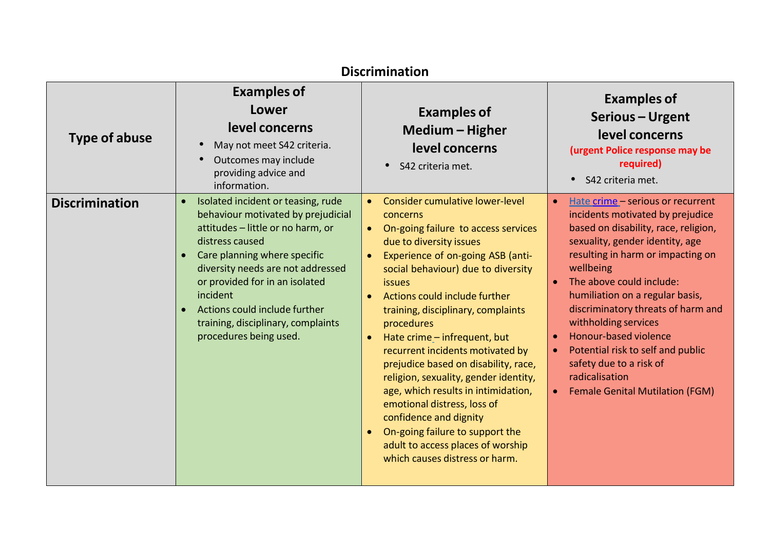| <b>Discrimination</b> |                                                                                                                                                                                                                                                                                                                                                                                             |                                                                                                                                                                                                                                                                                                                                                                                                                                                                                                                                                                                                                                                                                                        |                                                                                                                                                                                                                                                                                                                                                                                                                                                                                      |
|-----------------------|---------------------------------------------------------------------------------------------------------------------------------------------------------------------------------------------------------------------------------------------------------------------------------------------------------------------------------------------------------------------------------------------|--------------------------------------------------------------------------------------------------------------------------------------------------------------------------------------------------------------------------------------------------------------------------------------------------------------------------------------------------------------------------------------------------------------------------------------------------------------------------------------------------------------------------------------------------------------------------------------------------------------------------------------------------------------------------------------------------------|--------------------------------------------------------------------------------------------------------------------------------------------------------------------------------------------------------------------------------------------------------------------------------------------------------------------------------------------------------------------------------------------------------------------------------------------------------------------------------------|
| <b>Type of abuse</b>  | <b>Examples of</b><br>Lower<br>level concerns<br>May not meet S42 criteria.<br>$\bullet$<br>Outcomes may include<br>providing advice and<br>information.                                                                                                                                                                                                                                    | <b>Examples of</b><br>Medium - Higher<br>level concerns<br>• S42 criteria met.                                                                                                                                                                                                                                                                                                                                                                                                                                                                                                                                                                                                                         | <b>Examples of</b><br>Serious - Urgent<br>level concerns<br>(urgent Police response may be<br>required)<br>S42 criteria met.                                                                                                                                                                                                                                                                                                                                                         |
| <b>Discrimination</b> | Isolated incident or teasing, rude<br>$\bullet$<br>behaviour motivated by prejudicial<br>attitudes - little or no harm, or<br>distress caused<br>Care planning where specific<br>$\bullet$<br>diversity needs are not addressed<br>or provided for in an isolated<br>incident<br>Actions could include further<br>$\bullet$<br>training, disciplinary, complaints<br>procedures being used. | Consider cumulative lower-level<br>$\bullet$<br>concerns<br>• On-going failure to access services<br>due to diversity issues<br>Experience of on-going ASB (anti-<br>$\bullet$<br>social behaviour) due to diversity<br><i>issues</i><br>Actions could include further<br>training, disciplinary, complaints<br>procedures<br>Hate crime - infrequent, but<br>$\bullet$<br>recurrent incidents motivated by<br>prejudice based on disability, race,<br>religion, sexuality, gender identity,<br>age, which results in intimidation,<br>emotional distress, loss of<br>confidence and dignity<br>On-going failure to support the<br>adult to access places of worship<br>which causes distress or harm. | Hate crime - serious or recurrent<br>incidents motivated by prejudice<br>based on disability, race, religion,<br>sexuality, gender identity, age<br>resulting in harm or impacting on<br>wellbeing<br>The above could include:<br>humiliation on a regular basis,<br>discriminatory threats of harm and<br>withholding services<br>Honour-based violence<br>Potential risk to self and public<br>safety due to a risk of<br>radicalisation<br><b>Female Genital Mutilation (FGM)</b> |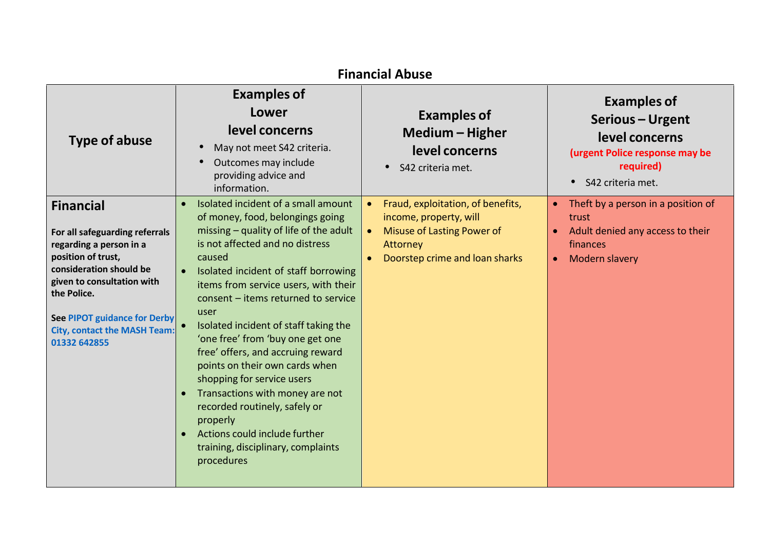| <b>Financial Abuse</b>                                                                                                                                                                                                                                             |                                                                                                                                                                                                                                                                                                                                                                                                                                                                                                                                                                                                                                                                   |                                                                                                                                                |                                                                                                                                           |
|--------------------------------------------------------------------------------------------------------------------------------------------------------------------------------------------------------------------------------------------------------------------|-------------------------------------------------------------------------------------------------------------------------------------------------------------------------------------------------------------------------------------------------------------------------------------------------------------------------------------------------------------------------------------------------------------------------------------------------------------------------------------------------------------------------------------------------------------------------------------------------------------------------------------------------------------------|------------------------------------------------------------------------------------------------------------------------------------------------|-------------------------------------------------------------------------------------------------------------------------------------------|
| <b>Type of abuse</b>                                                                                                                                                                                                                                               | <b>Examples of</b><br>Lower<br>level concerns<br>May not meet S42 criteria.<br>Outcomes may include<br>providing advice and<br>information.                                                                                                                                                                                                                                                                                                                                                                                                                                                                                                                       | <b>Examples of</b><br>Medium – Higher<br>level concerns<br>S42 criteria met.                                                                   | <b>Examples of</b><br>Serious - Urgent<br>level concerns<br>(urgent Police response may be<br>required)<br>S42 criteria met.<br>$\bullet$ |
| <b>Financial</b><br>For all safeguarding referrals<br>regarding a person in a<br>position of trust,<br>consideration should be<br>given to consultation with<br>the Police.<br>See PIPOT guidance for Derby<br><b>City, contact the MASH Team:</b><br>01332 642855 | Isolated incident of a small amount<br>of money, food, belongings going<br>missing - quality of life of the adult<br>is not affected and no distress<br>caused<br>Isolated incident of staff borrowing<br>items from service users, with their<br>consent - items returned to service<br>user<br>Isolated incident of staff taking the<br>'one free' from 'buy one get one<br>free' offers, and accruing reward<br>points on their own cards when<br>shopping for service users<br>Transactions with money are not<br>recorded routinely, safely or<br>properly<br>Actions could include further<br>$\bullet$<br>training, disciplinary, complaints<br>procedures | Fraud, exploitation, of benefits,<br>income, property, will<br><b>Misuse of Lasting Power of</b><br>Attorney<br>Doorstep crime and loan sharks | Theft by a person in a position of<br>trust<br>Adult denied any access to their<br>finances<br><b>Modern slavery</b><br>$\bullet$         |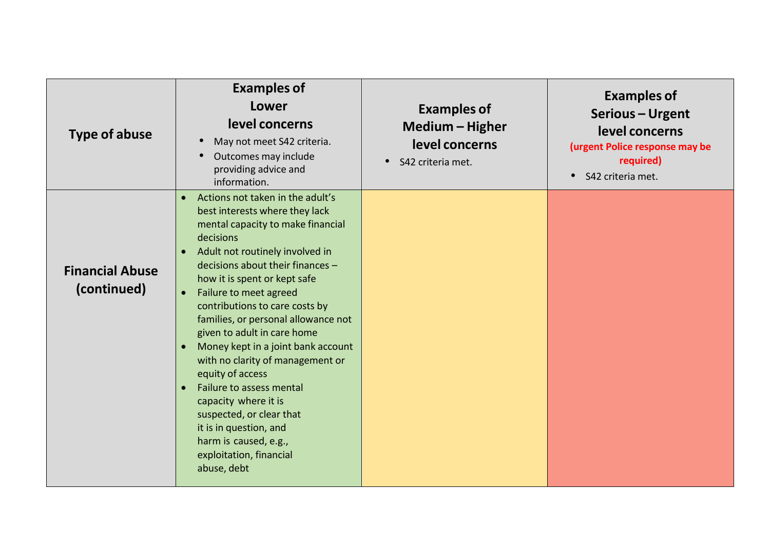| <b>Type of abuse</b>                  | <b>Examples of</b><br>Lower<br>level concerns<br>May not meet S42 criteria.<br>$\bullet$<br>Outcomes may include<br>$\bullet$<br>providing advice and<br>information.                                                                                                                                                                                                                                                                                                                                                                                                                                                                                                                                     | <b>Examples of</b><br>Medium - Higher<br>level concerns<br>$\bullet$<br>S42 criteria met. | <b>Examples of</b><br>Serious - Urgent<br>level concerns<br>(urgent Police response may be<br>required)<br>S42 criteria met. |
|---------------------------------------|-----------------------------------------------------------------------------------------------------------------------------------------------------------------------------------------------------------------------------------------------------------------------------------------------------------------------------------------------------------------------------------------------------------------------------------------------------------------------------------------------------------------------------------------------------------------------------------------------------------------------------------------------------------------------------------------------------------|-------------------------------------------------------------------------------------------|------------------------------------------------------------------------------------------------------------------------------|
| <b>Financial Abuse</b><br>(continued) | Actions not taken in the adult's<br>$\bullet$<br>best interests where they lack<br>mental capacity to make financial<br>decisions<br>Adult not routinely involved in<br>$\bullet$<br>decisions about their finances -<br>how it is spent or kept safe<br>Failure to meet agreed<br>$\bullet$<br>contributions to care costs by<br>families, or personal allowance not<br>given to adult in care home<br>Money kept in a joint bank account<br>$\bullet$<br>with no clarity of management or<br>equity of access<br>Failure to assess mental<br>$\bullet$<br>capacity where it is<br>suspected, or clear that<br>it is in question, and<br>harm is caused, e.g.,<br>exploitation, financial<br>abuse, debt |                                                                                           |                                                                                                                              |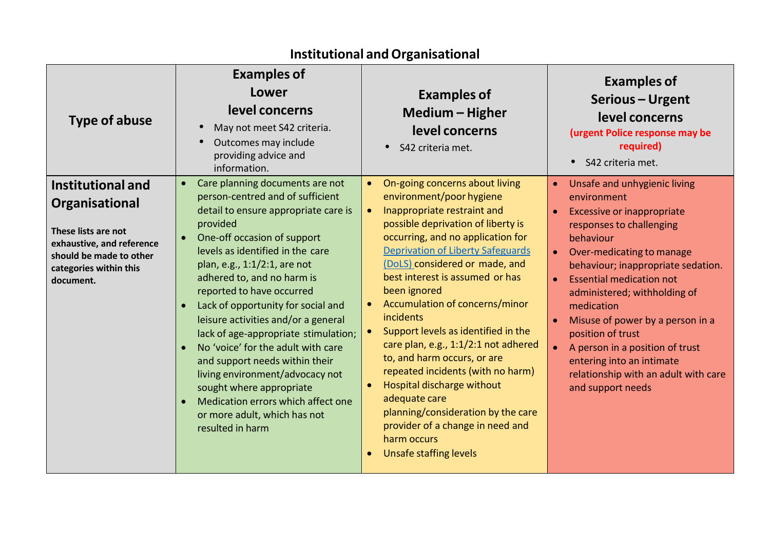| <b>Type of abuse</b>                                                                                                                                             | <b>Examples of</b><br>Lower<br>level concerns<br>May not meet S42 criteria.<br>Outcomes may include<br>providing advice and<br>information.                                                                                                                                                                                                                                                                                                                                                                                                                                                                                                              | <b>Examples of</b><br>Medium - Higher<br>level concerns<br>• S42 criteria met.                                                                                                                                                                                                                                                                                                                                                                                                                                                                                                                                                                                                                       | <b>Examples of</b><br>Serious - Urgent<br>level concerns<br>(urgent Police response may be<br>required)<br>S42 criteria met.                                                                                                                                                                                                                                                                                                                                                     |
|------------------------------------------------------------------------------------------------------------------------------------------------------------------|----------------------------------------------------------------------------------------------------------------------------------------------------------------------------------------------------------------------------------------------------------------------------------------------------------------------------------------------------------------------------------------------------------------------------------------------------------------------------------------------------------------------------------------------------------------------------------------------------------------------------------------------------------|------------------------------------------------------------------------------------------------------------------------------------------------------------------------------------------------------------------------------------------------------------------------------------------------------------------------------------------------------------------------------------------------------------------------------------------------------------------------------------------------------------------------------------------------------------------------------------------------------------------------------------------------------------------------------------------------------|----------------------------------------------------------------------------------------------------------------------------------------------------------------------------------------------------------------------------------------------------------------------------------------------------------------------------------------------------------------------------------------------------------------------------------------------------------------------------------|
| <b>Institutional and</b><br>Organisational<br>These lists are not<br>exhaustive, and reference<br>should be made to other<br>categories within this<br>document. | Care planning documents are not<br>$\bullet$<br>person-centred and of sufficient<br>detail to ensure appropriate care is<br>provided<br>One-off occasion of support<br>levels as identified in the care<br>plan, e.g., 1:1/2:1, are not<br>adhered to, and no harm is<br>reported to have occurred<br>Lack of opportunity for social and<br>leisure activities and/or a general<br>lack of age-appropriate stimulation;<br>No 'voice' for the adult with care<br>and support needs within their<br>living environment/advocacy not<br>sought where appropriate<br>Medication errors which affect one<br>or more adult, which has not<br>resulted in harm | On-going concerns about living<br>$\bullet$<br>environment/poor hygiene<br>Inappropriate restraint and<br>possible deprivation of liberty is<br>occurring, and no application for<br><b>Deprivation of Liberty Safeguards</b><br>(DoLS) considered or made, and<br>best interest is assumed or has<br>been ignored<br>Accumulation of concerns/minor<br><i>incidents</i><br>Support levels as identified in the<br>care plan, e.g., 1:1/2:1 not adhered<br>to, and harm occurs, or are<br>repeated incidents (with no harm)<br>Hospital discharge without<br>adequate care<br>planning/consideration by the care<br>provider of a change in need and<br>harm occurs<br><b>Unsafe staffing levels</b> | Unsafe and unhygienic living<br>$\bullet$<br>environment<br><b>Excessive or inappropriate</b><br>responses to challenging<br>behaviour<br>Over-medicating to manage<br>behaviour; inappropriate sedation.<br><b>Essential medication not</b><br>administered; withholding of<br>medication<br>Misuse of power by a person in a<br>position of trust<br>A person in a position of trust<br>entering into an intimate<br>relationship with an adult with care<br>and support needs |

### **Institutional andOrganisational**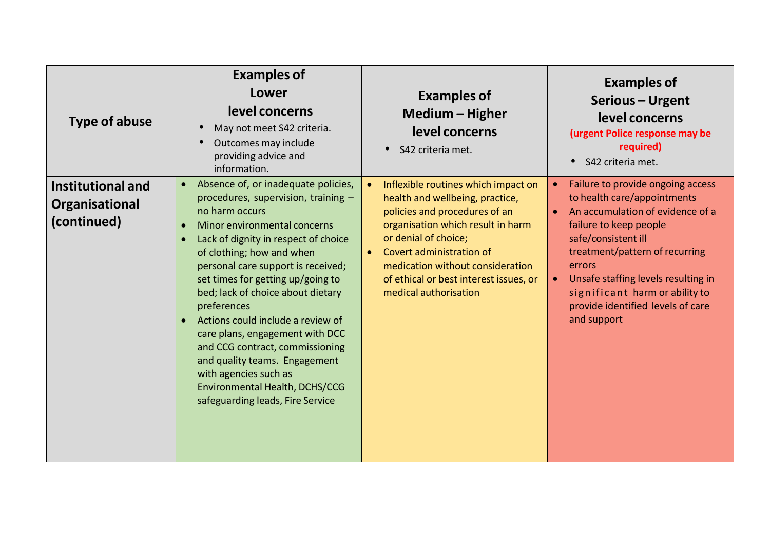| Type of abuse                                             | <b>Examples of</b><br>Lower<br>level concerns<br>May not meet S42 criteria.<br>Outcomes may include<br>providing advice and<br>information.                                                                                                                                                                                                                                                                                                                                                                                                                                              | <b>Examples of</b><br>Medium - Higher<br>level concerns<br>S42 criteria met.                                                                                                                                                                                                                                         | <b>Examples of</b><br>Serious - Urgent<br>level concerns<br>(urgent Police response may be<br>required)<br>S42 criteria met.<br>$\bullet$                                                                                                                                                                                                   |
|-----------------------------------------------------------|------------------------------------------------------------------------------------------------------------------------------------------------------------------------------------------------------------------------------------------------------------------------------------------------------------------------------------------------------------------------------------------------------------------------------------------------------------------------------------------------------------------------------------------------------------------------------------------|----------------------------------------------------------------------------------------------------------------------------------------------------------------------------------------------------------------------------------------------------------------------------------------------------------------------|---------------------------------------------------------------------------------------------------------------------------------------------------------------------------------------------------------------------------------------------------------------------------------------------------------------------------------------------|
| <b>Institutional and</b><br>Organisational<br>(continued) | Absence of, or inadequate policies,<br>$\bullet$<br>procedures, supervision, training -<br>no harm occurs<br>Minor environmental concerns<br>Lack of dignity in respect of choice<br>of clothing; how and when<br>personal care support is received;<br>set times for getting up/going to<br>bed; lack of choice about dietary<br>preferences<br>Actions could include a review of<br>care plans, engagement with DCC<br>and CCG contract, commissioning<br>and quality teams. Engagement<br>with agencies such as<br>Environmental Health, DCHS/CCG<br>safeguarding leads, Fire Service | Inflexible routines which impact on<br>health and wellbeing, practice,<br>policies and procedures of an<br>organisation which result in harm<br>or denial of choice;<br>Covert administration of<br>$\bullet$<br>medication without consideration<br>of ethical or best interest issues, or<br>medical authorisation | Failure to provide ongoing access<br>to health care/appointments<br>An accumulation of evidence of a<br>$\bullet$<br>failure to keep people<br>safe/consistent ill<br>treatment/pattern of recurring<br>errors<br>Unsafe staffing levels resulting in<br>significant harm or ability to<br>provide identified levels of care<br>and support |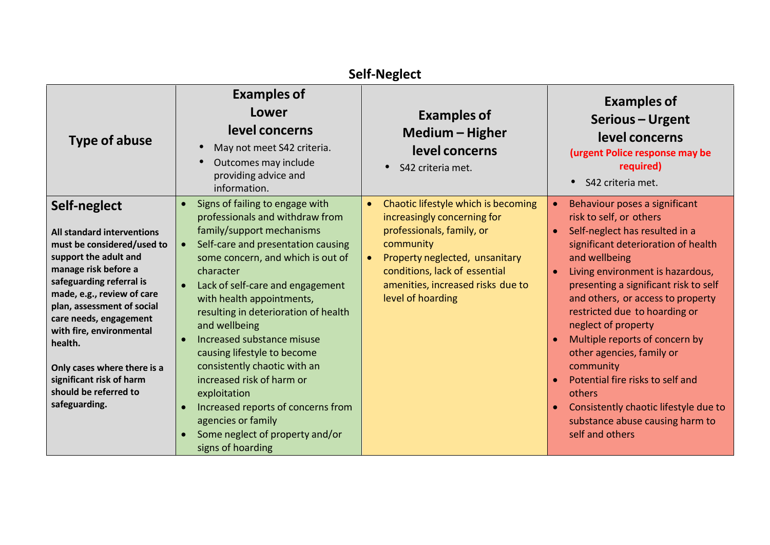| <b>Self-Neglect</b>                                                                                                                                                                                                                                                                                                                                                                     |                                                                                                                                                                                                                                                                                                                                                                                                                                                                                                                                                                                                           |                                                                                                                                                                                                                                                                     |                                                                                                                                                                                                                                                                                                                                                                                                                                                                                                                                                       |  |
|-----------------------------------------------------------------------------------------------------------------------------------------------------------------------------------------------------------------------------------------------------------------------------------------------------------------------------------------------------------------------------------------|-----------------------------------------------------------------------------------------------------------------------------------------------------------------------------------------------------------------------------------------------------------------------------------------------------------------------------------------------------------------------------------------------------------------------------------------------------------------------------------------------------------------------------------------------------------------------------------------------------------|---------------------------------------------------------------------------------------------------------------------------------------------------------------------------------------------------------------------------------------------------------------------|-------------------------------------------------------------------------------------------------------------------------------------------------------------------------------------------------------------------------------------------------------------------------------------------------------------------------------------------------------------------------------------------------------------------------------------------------------------------------------------------------------------------------------------------------------|--|
| <b>Type of abuse</b>                                                                                                                                                                                                                                                                                                                                                                    | <b>Examples of</b><br>Lower<br>level concerns<br>May not meet S42 criteria.<br>Outcomes may include<br>providing advice and<br>information.                                                                                                                                                                                                                                                                                                                                                                                                                                                               | <b>Examples of</b><br>Medium - Higher<br>level concerns<br>S42 criteria met.                                                                                                                                                                                        | <b>Examples of</b><br>Serious - Urgent<br>level concerns<br>(urgent Police response may be<br>required)<br>S42 criteria met.                                                                                                                                                                                                                                                                                                                                                                                                                          |  |
| Self-neglect<br>All standard interventions<br>must be considered/used to<br>support the adult and<br>manage risk before a<br>safeguarding referral is<br>made, e.g., review of care<br>plan, assessment of social<br>care needs, engagement<br>with fire, environmental<br>health.<br>Only cases where there is a<br>significant risk of harm<br>should be referred to<br>safeguarding. | Signs of failing to engage with<br>professionals and withdraw from<br>family/support mechanisms<br>Self-care and presentation causing<br>some concern, and which is out of<br>character<br>Lack of self-care and engagement<br>$\bullet$<br>with health appointments,<br>resulting in deterioration of health<br>and wellbeing<br>Increased substance misuse<br>causing lifestyle to become<br>consistently chaotic with an<br>increased risk of harm or<br>exploitation<br>Increased reports of concerns from<br>$\bullet$<br>agencies or family<br>Some neglect of property and/or<br>signs of hoarding | Chaotic lifestyle which is becoming<br>$\bullet$<br>increasingly concerning for<br>professionals, family, or<br>community<br>Property neglected, unsanitary<br>$\bullet$<br>conditions, lack of essential<br>amenities, increased risks due to<br>level of hoarding | Behaviour poses a significant<br>risk to self, or others<br>Self-neglect has resulted in a<br>significant deterioration of health<br>and wellbeing<br>Living environment is hazardous,<br>presenting a significant risk to self<br>and others, or access to property<br>restricted due to hoarding or<br>neglect of property<br>Multiple reports of concern by<br>other agencies, family or<br>community<br>Potential fire risks to self and<br>others<br>Consistently chaotic lifestyle due to<br>substance abuse causing harm to<br>self and others |  |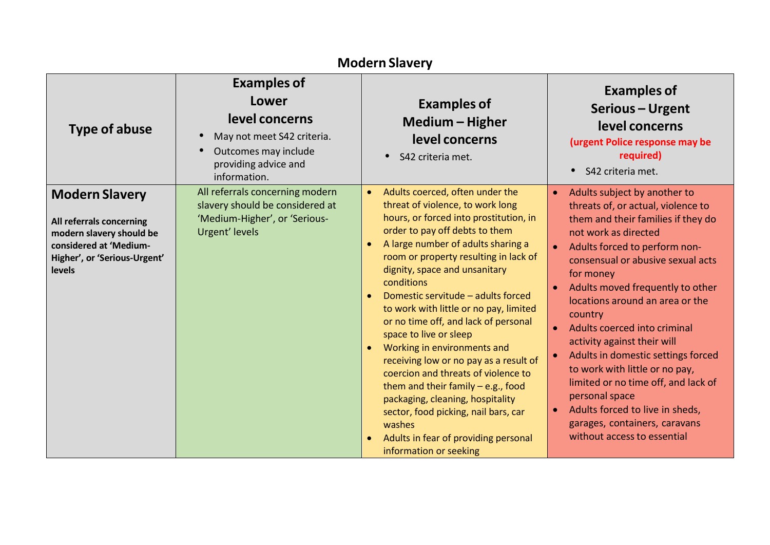| <b>Modern Slavery</b>                                                                                                                             |                                                                                                                                             |                                                                                                                                                                                                                                                                                                                                                                                                                                                                                                                                                                                                                                                                                                                                                 |                                                                                                                                                                                                                                                                                                                                                                                                                                                                                                                                                                                                                                                 |
|---------------------------------------------------------------------------------------------------------------------------------------------------|---------------------------------------------------------------------------------------------------------------------------------------------|-------------------------------------------------------------------------------------------------------------------------------------------------------------------------------------------------------------------------------------------------------------------------------------------------------------------------------------------------------------------------------------------------------------------------------------------------------------------------------------------------------------------------------------------------------------------------------------------------------------------------------------------------------------------------------------------------------------------------------------------------|-------------------------------------------------------------------------------------------------------------------------------------------------------------------------------------------------------------------------------------------------------------------------------------------------------------------------------------------------------------------------------------------------------------------------------------------------------------------------------------------------------------------------------------------------------------------------------------------------------------------------------------------------|
| <b>Type of abuse</b>                                                                                                                              | <b>Examples of</b><br>Lower<br>level concerns<br>May not meet S42 criteria.<br>Outcomes may include<br>providing advice and<br>information. | <b>Examples of</b><br>Medium - Higher<br>level concerns<br>• S42 criteria met.                                                                                                                                                                                                                                                                                                                                                                                                                                                                                                                                                                                                                                                                  | <b>Examples of</b><br>Serious - Urgent<br>level concerns<br>(urgent Police response may be<br>required)<br>S42 criteria met.                                                                                                                                                                                                                                                                                                                                                                                                                                                                                                                    |
| <b>Modern Slavery</b><br>All referrals concerning<br>modern slavery should be<br>considered at 'Medium-<br>Higher', or 'Serious-Urgent'<br>levels | All referrals concerning modern<br>slavery should be considered at<br>'Medium-Higher', or 'Serious-<br>Urgent' levels                       | Adults coerced, often under the<br>threat of violence, to work long<br>hours, or forced into prostitution, in<br>order to pay off debts to them<br>A large number of adults sharing a<br>room or property resulting in lack of<br>dignity, space and unsanitary<br>conditions<br>Domestic servitude - adults forced<br>to work with little or no pay, limited<br>or no time off, and lack of personal<br>space to live or sleep<br>Working in environments and<br>receiving low or no pay as a result of<br>coercion and threats of violence to<br>them and their family $-$ e.g., food<br>packaging, cleaning, hospitality<br>sector, food picking, nail bars, car<br>washes<br>Adults in fear of providing personal<br>information or seeking | Adults subject by another to<br>$\bullet$<br>threats of, or actual, violence to<br>them and their families if they do<br>not work as directed<br>Adults forced to perform non-<br>$\bullet$<br>consensual or abusive sexual acts<br>for money<br>Adults moved frequently to other<br>locations around an area or the<br>country<br>Adults coerced into criminal<br>activity against their will<br>Adults in domestic settings forced<br>to work with little or no pay,<br>limited or no time off, and lack of<br>personal space<br>Adults forced to live in sheds,<br>$\bullet$<br>garages, containers, caravans<br>without access to essential |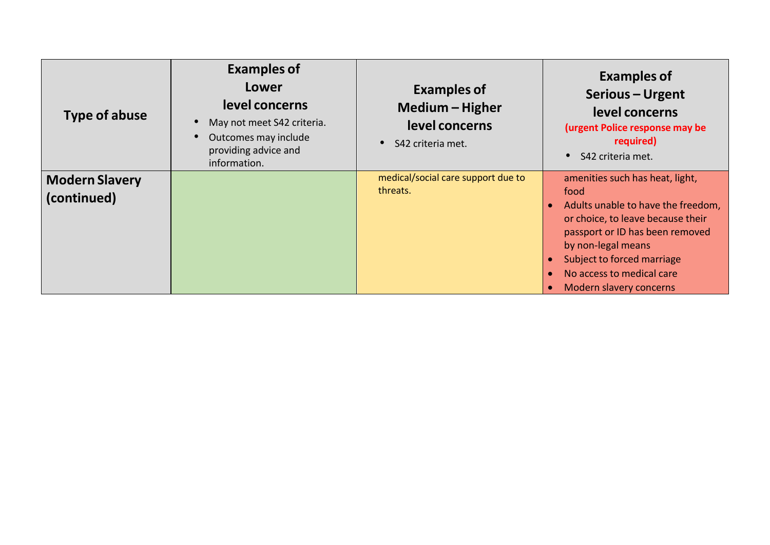| Type of abuse                        | <b>Examples of</b><br>Lower<br>level concerns<br>May not meet S42 criteria.<br>Outcomes may include<br>providing advice and<br>information. | <b>Examples of</b><br>Medium - Higher<br>level concerns<br>S42 criteria met. | <b>Examples of</b><br>Serious - Urgent<br>level concerns<br>(urgent Police response may be<br>required)<br>S42 criteria met.                                                                                                                                      |
|--------------------------------------|---------------------------------------------------------------------------------------------------------------------------------------------|------------------------------------------------------------------------------|-------------------------------------------------------------------------------------------------------------------------------------------------------------------------------------------------------------------------------------------------------------------|
| <b>Modern Slavery</b><br>(continued) |                                                                                                                                             | medical/social care support due to<br>threats.                               | amenities such has heat, light,<br>food<br>Adults unable to have the freedom,<br>or choice, to leave because their<br>passport or ID has been removed<br>by non-legal means<br>Subject to forced marriage<br>No access to medical care<br>Modern slavery concerns |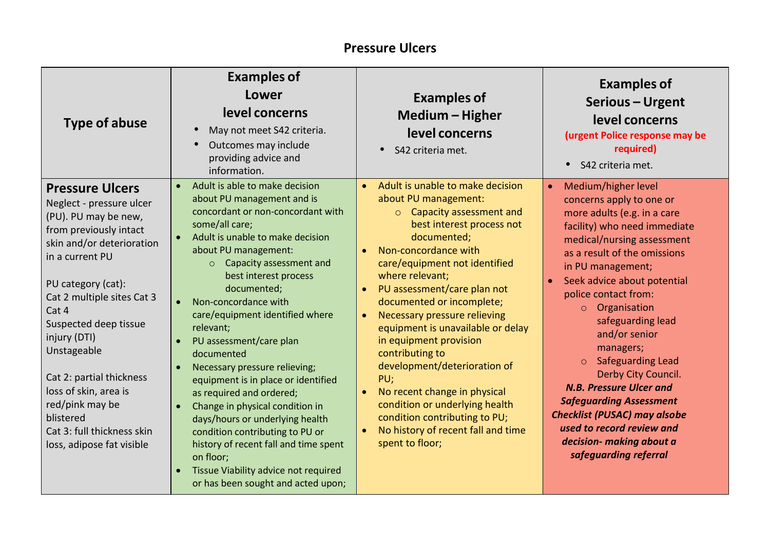#### **Pressure Ulcers**

| <b>Type of abuse</b>                                                                                                                                                                                                                                                                                                                                                                                                      | <b>Examples of</b><br>Lower<br>level concerns<br>May not meet S42 criteria.<br>Outcomes may include<br>providing advice and<br>information.                                                                                                                                                                                                                                                                                                                                                                                                                                                                                                                                                                                                  | <b>Examples of</b><br>Medium - Higher<br>level concerns<br>$\bullet$<br>S42 criteria met.                                                                                                                                                                                                                                                                                                                                                                                                                                                                                                                                             | <b>Examples of</b><br>Serious - Urgent<br>level concerns<br>(urgent Police response may be<br>required)<br>$\bullet$<br>S42 criteria met.                                                                                                                                                                                                                                                                                                                                                                                                                                                                      |
|---------------------------------------------------------------------------------------------------------------------------------------------------------------------------------------------------------------------------------------------------------------------------------------------------------------------------------------------------------------------------------------------------------------------------|----------------------------------------------------------------------------------------------------------------------------------------------------------------------------------------------------------------------------------------------------------------------------------------------------------------------------------------------------------------------------------------------------------------------------------------------------------------------------------------------------------------------------------------------------------------------------------------------------------------------------------------------------------------------------------------------------------------------------------------------|---------------------------------------------------------------------------------------------------------------------------------------------------------------------------------------------------------------------------------------------------------------------------------------------------------------------------------------------------------------------------------------------------------------------------------------------------------------------------------------------------------------------------------------------------------------------------------------------------------------------------------------|----------------------------------------------------------------------------------------------------------------------------------------------------------------------------------------------------------------------------------------------------------------------------------------------------------------------------------------------------------------------------------------------------------------------------------------------------------------------------------------------------------------------------------------------------------------------------------------------------------------|
| <b>Pressure Ulcers</b><br>Neglect - pressure ulcer<br>(PU). PU may be new,<br>from previously intact<br>skin and/or deterioration<br>in a current PU<br>PU category (cat):<br>Cat 2 multiple sites Cat 3<br>Cat 4<br>Suspected deep tissue<br>injury (DTI)<br>Unstageable<br>Cat 2: partial thickness<br>loss of skin, area is<br>red/pink may be<br>blistered<br>Cat 3: full thickness skin<br>loss, adipose fat visible | Adult is able to make decision<br>$\bullet$<br>about PU management and is<br>concordant or non-concordant with<br>some/all care;<br>Adult is unable to make decision<br>about PU management:<br>Capacity assessment and<br>$\circ$<br>best interest process<br>documented;<br>Non-concordance with<br>care/equipment identified where<br>relevant;<br>PU assessment/care plan<br>documented<br>Necessary pressure relieving;<br>equipment is in place or identified<br>as required and ordered;<br>Change in physical condition in<br>days/hours or underlying health<br>condition contributing to PU or<br>history of recent fall and time spent<br>on floor;<br>Tissue Viability advice not required<br>or has been sought and acted upon; | Adult is unable to make decision<br>$\bullet$<br>about PU management:<br>o Capacity assessment and<br>best interest process not<br>documented;<br>Non-concordance with<br>$\bullet$<br>care/equipment not identified<br>where relevant;<br>PU assessment/care plan not<br>documented or incomplete;<br>Necessary pressure relieving<br>$\bullet$<br>equipment is unavailable or delay<br>in equipment provision<br>contributing to<br>development/deterioration of<br>PU;<br>No recent change in physical<br>condition or underlying health<br>condition contributing to PU;<br>No history of recent fall and time<br>spent to floor; | Medium/higher level<br>concerns apply to one or<br>more adults (e.g. in a care<br>facility) who need immediate<br>medical/nursing assessment<br>as a result of the omissions<br>in PU management;<br>Seek advice about potential<br>$\bullet$<br>police contact from:<br>Organisation<br>$\circ$<br>safeguarding lead<br>and/or senior<br>managers;<br><b>Safeguarding Lead</b><br>$\circ$<br>Derby City Council.<br><b>N.B. Pressure Ulcer and</b><br><b>Safeguarding Assessment</b><br><b>Checklist (PUSAC) may alsobe</b><br>used to record review and<br>decision- making about a<br>safeguarding referral |